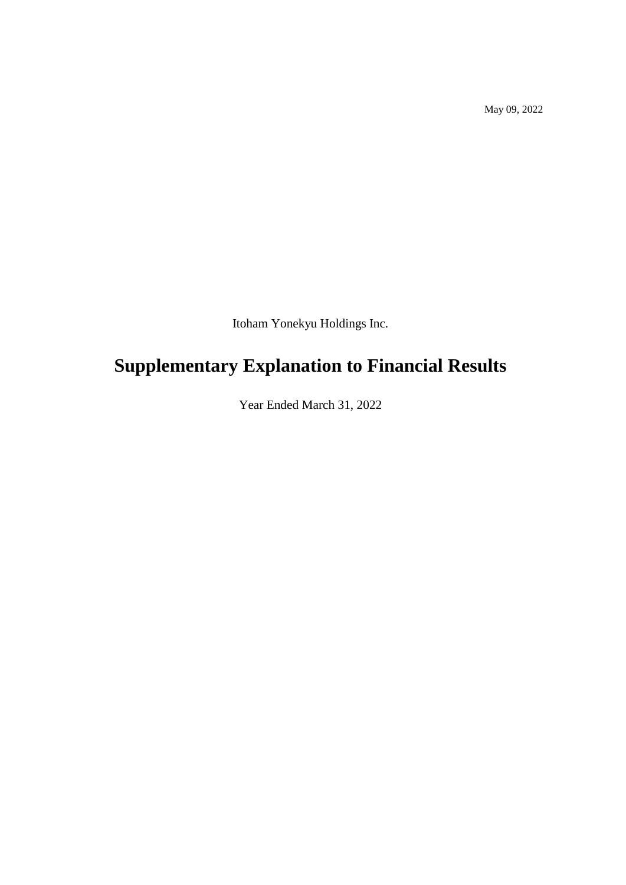May 09, 2022

Itoham Yonekyu Holdings Inc.

# **Supplementary Explanation to Financial Results**

Year Ended March 31, 2022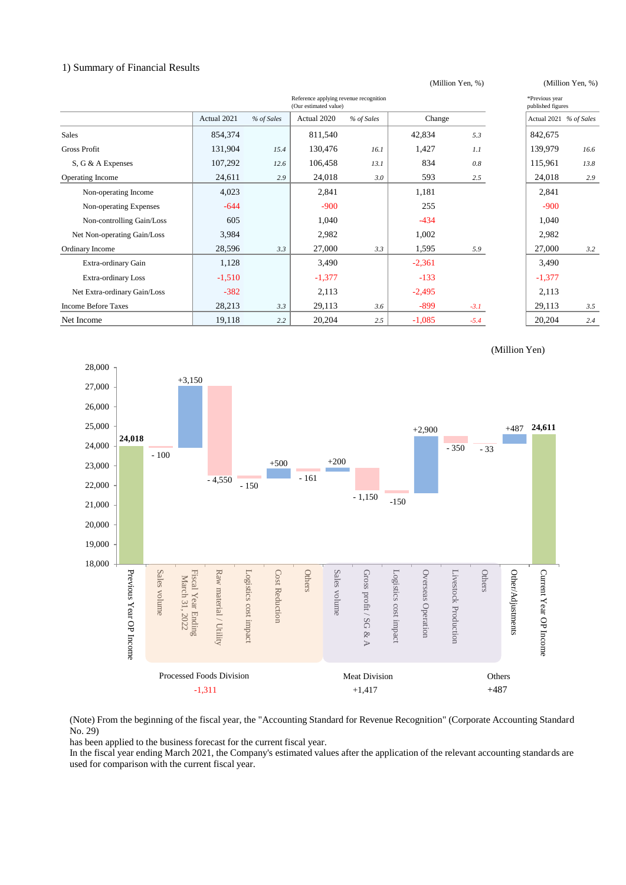## 1) Summary of Financial Results

| Reference applying revenue recognition<br>(Our estimated value) |             |            |             |            |          |        |          | *Previous year<br>published figures |
|-----------------------------------------------------------------|-------------|------------|-------------|------------|----------|--------|----------|-------------------------------------|
|                                                                 | Actual 2021 | % of Sales | Actual 2020 | % of Sales | Change   |        |          | Actual 2021 % of Sales              |
| <b>Sales</b>                                                    | 854,374     |            | 811,540     |            | 42,834   | 5.3    | 842,675  |                                     |
| <b>Gross Profit</b>                                             | 131,904     | 15.4       | 130,476     | 16.1       | 1,427    | 1.1    | 139,979  | 16.6                                |
| S, G & A Expenses                                               | 107,292     | 12.6       | 106,458     | 13.1       | 834      | 0.8    | 115,961  | 13.8                                |
| Operating Income                                                | 24,611      | 2.9        | 24,018      | 3.0        | 593      | 2.5    | 24,018   | 2.9                                 |
| Non-operating Income                                            | 4,023       |            | 2,841       |            | 1,181    |        | 2,841    |                                     |
| Non-operating Expenses                                          | $-644$      |            | $-900$      |            | 255      |        | $-900$   |                                     |
| Non-controlling Gain/Loss                                       | 605         |            | 1,040       |            | $-434$   |        | 1,040    |                                     |
| Net Non-operating Gain/Loss                                     | 3,984       |            | 2,982       |            | 1,002    |        | 2,982    |                                     |
| Ordinary Income                                                 | 28,596      | 3.3        | 27,000      | 3.3        | 1,595    | 5.9    | 27,000   | 3.2                                 |
| Extra-ordinary Gain                                             | 1,128       |            | 3,490       |            | $-2,361$ |        | 3,490    |                                     |
| Extra-ordinary Loss                                             | $-1,510$    |            | $-1,377$    |            | $-133$   |        | $-1,377$ |                                     |
| Net Extra-ordinary Gain/Loss                                    | $-382$      |            | 2,113       |            | $-2,495$ |        | 2,113    |                                     |
| <b>Income Before Taxes</b>                                      | 28,213      | 3.3        | 29,113      | 3.6        | $-899$   | $-3.1$ | 29,113   | 3.5                                 |
| Net Income                                                      | 19,118      | 2.2        | 20,204      | 2.5        | $-1,085$ | $-5.4$ | 20,204   | 2.4                                 |

(Million Yen, %) (Million Yen, %)



(Note) From the beginning of the fiscal year, the "Accounting Standard for Revenue Recognition" (Corporate Accounting Standard No. 29)

has been applied to the business forecast for the current fiscal year.

In the fiscal year ending March 2021, the Company's estimated values after the application of the relevant accounting standards are used for comparison with the current fiscal year.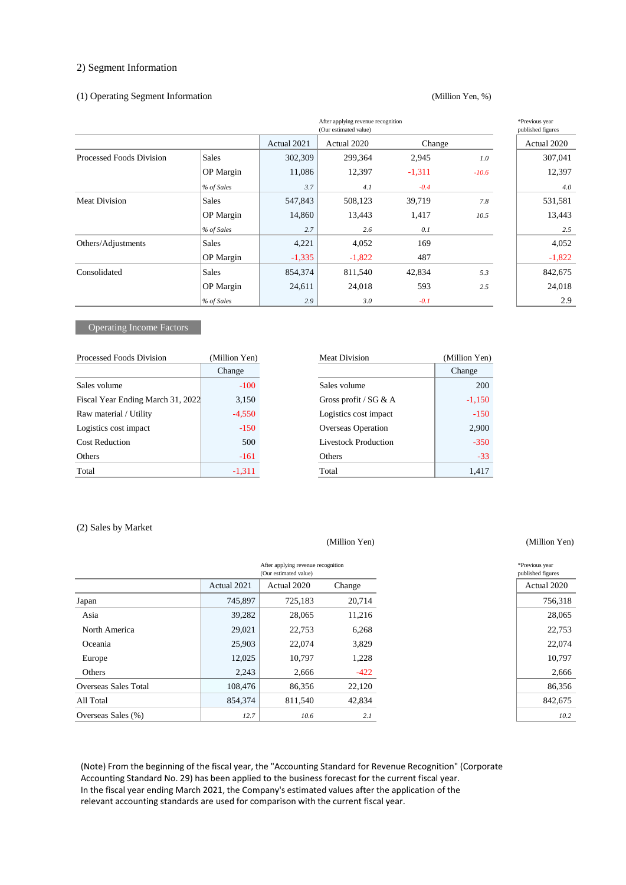## 2) Segment Information

#### (1) Operating Segment Information

#### (Million Yen, %)

| After applying revenue recognition<br>(Our estimated value) |                  |             |             |          |         |             |  |
|-------------------------------------------------------------|------------------|-------------|-------------|----------|---------|-------------|--|
|                                                             |                  | Actual 2021 | Actual 2020 | Change   |         | Actual 2020 |  |
| Processed Foods Division                                    | Sales            | 302,309     | 299,364     | 2,945    | 1.0     | 307,041     |  |
|                                                             | <b>OP</b> Margin | 11,086      | 12,397      | $-1,311$ | $-10.6$ | 12,397      |  |
|                                                             | % of Sales       | 3.7         | 4.1         | $-0.4$   |         | 4.0         |  |
| <b>Meat Division</b>                                        | Sales            | 547,843     | 508,123     | 39,719   | 7.8     | 531,581     |  |
|                                                             | <b>OP</b> Margin | 14,860      | 13,443      | 1,417    | 10.5    | 13,443      |  |
|                                                             | % of Sales       | 2.7         | 2.6         | 0.1      |         | 2.5         |  |
| Others/Adjustments                                          | <b>Sales</b>     | 4,221       | 4,052       | 169      |         | 4,052       |  |
|                                                             | <b>OP</b> Margin | $-1,335$    | $-1,822$    | 487      |         | $-1,822$    |  |
| Consolidated                                                | <b>Sales</b>     | 854,374     | 811,540     | 42,834   | 5.3     | 842,675     |  |
|                                                             | <b>OP</b> Margin | 24,611      | 24,018      | 593      | 2.5     | 24,018      |  |
|                                                             | % of Sales       | 2.9         | 3.0         | $-0.1$   |         | 2.9         |  |

## Operating Income Factors

| Processed Foods Division          | (Million Yen) | <b>Meat Division</b>        | (Million Yen) |
|-----------------------------------|---------------|-----------------------------|---------------|
|                                   | Change        |                             | Change        |
| Sales volume                      | $-100$        | Sales volume                | 200           |
| Fiscal Year Ending March 31, 2022 | 3,150         | Gross profit / $SG & A$     | $-1,150$      |
| Raw material / Utility            | $-4,550$      | Logistics cost impact       | $-150$        |
| Logistics cost impact             | $-150$        | <b>Overseas Operation</b>   | 2,900         |
| <b>Cost Reduction</b>             | 500           | <b>Livestock Production</b> | $-350$        |
| Others                            | $-161$        | Others                      | $-33$         |
| Total                             | $-1,311$      | Total                       | 1,417         |

| fillion Yen) | <b>Meat Division</b>        | (Million Yen) |
|--------------|-----------------------------|---------------|
| Change       |                             | Change        |
| $-100$       | Sales volume                | 200           |
| 3,150        | Gross profit / $SG & A$     | $-1,150$      |
| $-4,550$     | Logistics cost impact       | $-150$        |
| $-150$       | Overseas Operation          | 2,900         |
| 500          | <b>Livestock Production</b> | $-350$        |
| $-161$       | Others                      | $-33$         |
| -1,311       | Total                       | 1,417         |

#### (2) Sales by Market

Í. l.

|                      |             | After applying revenue recognition<br>(Our estimated value) |        |
|----------------------|-------------|-------------------------------------------------------------|--------|
|                      | Actual 2021 | Actual 2020                                                 | Change |
| Japan                | 745,897     | 725,183                                                     | 20,714 |
| Asia                 | 39,282      | 28,065                                                      | 11,216 |
| North America        | 29,021      | 22,753                                                      | 6,268  |
| Oceania              | 25,903      | 22,074                                                      | 3,829  |
| Europe               | 12,025      | 10,797                                                      | 1,228  |
| Others               | 2,243       | 2,666                                                       | $-422$ |
| Overseas Sales Total | 108,476     | 86,356                                                      | 22,120 |
| All Total            | 854,374     | 811,540                                                     | 42,834 |
| Overseas Sales (%)   | 12.7        | 10.6                                                        | 2.1    |

(Note) From the beginning of the fiscal year, the "Accounting Standard for Revenue Recognition" (Corporate Accounting Standard No. 29) has been applied to the business forecast for the current fiscal year. In the fiscal year ending March 2021, the Company's estimated values after the application of the relevant accounting standards are used for comparison with the current fiscal year.

#### (Million Yen) (Million Yen)

| "Previous vear    |
|-------------------|
| published figures |
| Actual 2020       |
| 756.318           |
| 28,065            |
| 22.753            |
| 22.074            |
| 10,797            |
| 2.666             |
| 86,356            |
| 842.675           |
| $\overline{10}$   |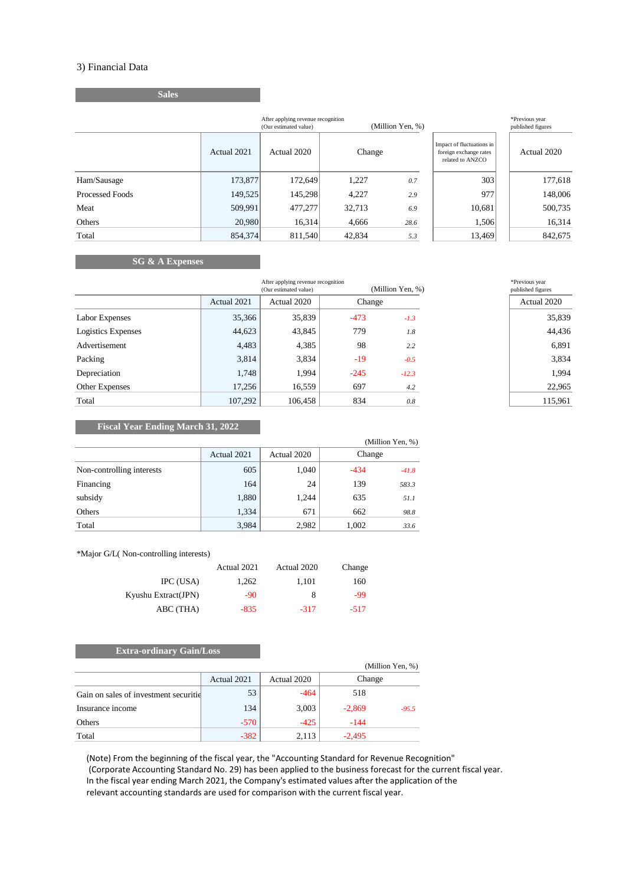## 3) Financial Data

| <b>Sales</b> |             |                                                             |                  |
|--------------|-------------|-------------------------------------------------------------|------------------|
|              |             | After applying revenue recognition<br>(Our estimated value) | (Million Yen, %) |
|              | Actual 2021 | Actual 2020                                                 | Change           |

| After applying revenue recognition<br>(Million Yen, %)<br>(Our estimated value) |             |             |        |      |                                                                         |             |
|---------------------------------------------------------------------------------|-------------|-------------|--------|------|-------------------------------------------------------------------------|-------------|
|                                                                                 | Actual 2021 | Actual 2020 | Change |      | Impact of fluctuations in<br>foreign exchange rates<br>related to ANZCO | Actual 2020 |
| Ham/Sausage                                                                     | 173,877     | 172,649     | 1,227  | 0.7  | 303                                                                     | 177,618     |
| Processed Foods                                                                 | 149.525     | 145.298     | 4.227  | 2.9  | 977                                                                     | 148,006     |
| Meat                                                                            | 509,991     | 477,277     | 32,713 | 6.9  | 10,681                                                                  | 500,735     |
| Others                                                                          | 20,980      | 16,314      | 4,666  | 28.6 | 1,506                                                                   | 16,314      |
| Total                                                                           | 854,374     | 811,540     | 42,834 | 5.3  | 13,469                                                                  | 842,675     |

# **SG & A Expenses**

|                    |             | After applying revenue recognition<br>(Million Yen, %)<br>(Our estimated value) |        |         | *Previous year<br>published figures |
|--------------------|-------------|---------------------------------------------------------------------------------|--------|---------|-------------------------------------|
|                    | Actual 2021 | Actual 2020                                                                     | Change |         | Actual 2020                         |
| Labor Expenses     | 35,366      | 35,839                                                                          | $-473$ | $-1.3$  | 35,839                              |
| Logistics Expenses | 44,623      | 43,845                                                                          | 779    | 1.8     | 44,436                              |
| Advertisement      | 4,483       | 4,385                                                                           | 98     | 2.2     | 6,891                               |
| Packing            | 3,814       | 3,834                                                                           | $-19$  | $-0.5$  | 3,834                               |
| Depreciation       | 1,748       | 1,994                                                                           | $-245$ | $-12.3$ | 1,994                               |
| Other Expenses     | 17,256      | 16,559                                                                          | 697    | 4.2     | 22,965                              |
| Total              | 107,292     | 106,458                                                                         | 834    | 0.8     | 115,961                             |

| *Previous year<br>published figures |
|-------------------------------------|
| Actual 2020                         |
| 35,839                              |
| 44.436                              |
| 6.891                               |
| 3.834                               |
| 1.994                               |
| 22,965                              |
| 115,961                             |

## **Fiscal Year Ending March 31, 2022**

|                           |             |             | (Million Yen, %)  |
|---------------------------|-------------|-------------|-------------------|
|                           | Actual 2021 | Actual 2020 | Change            |
| Non-controlling interests | 605         | 1,040       | $-434$<br>$-41.8$ |
| Financing                 | 164         | 24          | 139<br>583.3      |
| subsidy                   | 1,880       | 1,244       | 635<br>51.1       |
| Others                    | 1,334       | 671         | 662<br>98.8       |
| Total                     | 3,984       | 2,982       | 1,002<br>33.6     |

\*Major G/L( Non-controlling interests)

|                     | Actual 2021 | Actual 2020 | Change |
|---------------------|-------------|-------------|--------|
| IPC (USA)           | 1,262       | 1.101       | 160    |
| Kyushu Extract(JPN) | -90         | 8           | -99    |
| ABC (THA)           | $-835$      | $-317$      | $-517$ |

## **Extra-ordinary Gain/Loss**

|                                       |             |             | (Million Yen, %)    |
|---------------------------------------|-------------|-------------|---------------------|
|                                       | Actual 2021 | Actual 2020 | Change              |
| Gain on sales of investment securitie | 53          | $-464$      | 518                 |
| Insurance income                      | 134         | 3,003       | $-2,869$<br>$-95.5$ |
| Others                                | $-570$      | $-425$      | $-144$              |
| Total                                 | $-382$      | 2,113       | $-2.495$            |

(Note) From the beginning of the fiscal year, the "Accounting Standard for Revenue Recognition" (Corporate Accounting Standard No. 29) has been applied to the business forecast for the current fiscal year. In the fiscal year ending March 2021, the Company's estimated values after the application of the relevant accounting standards are used for comparison with the current fiscal year.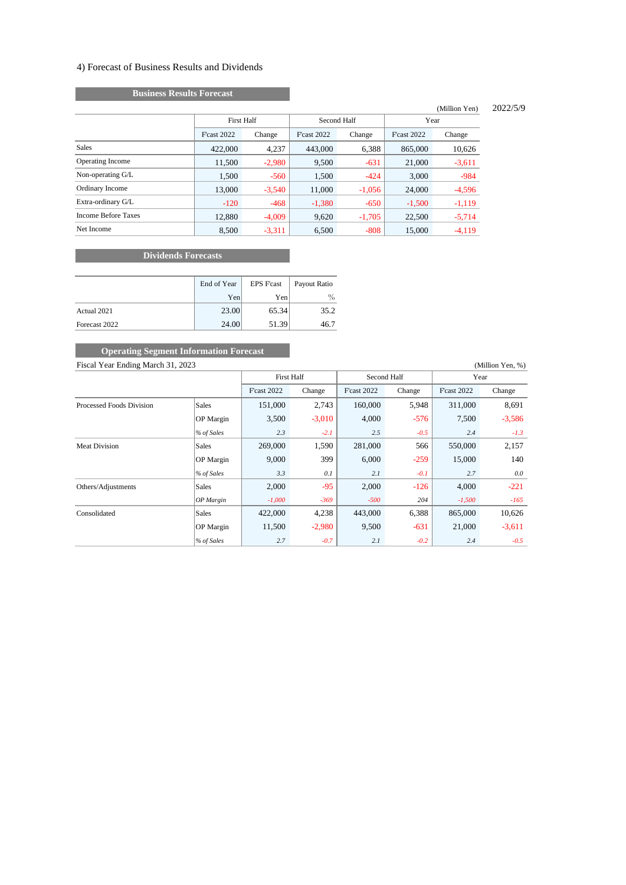## 4) Forecast of Business Results and Dividends

# **Business Results Forecast**

#### (Million Yen) 2022/5/9

| $\frac{1}{1}$      |          |                    |          |                    |          |  |  |
|--------------------|----------|--------------------|----------|--------------------|----------|--|--|
| <b>First Half</b>  |          | Second Half        |          | Year               |          |  |  |
| <b>F</b> cast 2022 | Change   | <b>F</b> cast 2022 | Change   | <b>F</b> cast 2022 | Change   |  |  |
| 422,000            | 4.237    | 443,000            | 6,388    | 865,000            | 10,626   |  |  |
| 11,500             | $-2,980$ | 9,500              | $-631$   | 21,000             | $-3,611$ |  |  |
| 1.500              | $-560$   | 1,500              | $-424$   | 3.000              | -984     |  |  |
| 13,000             | $-3,540$ | 11.000             | $-1,056$ | 24,000             | $-4,596$ |  |  |
| $-120$             | $-468$   | $-1,380$           | $-650$   | $-1,500$           | $-1,119$ |  |  |
| 12,880             | $-4,009$ | 9,620              | $-1,705$ | 22,500             | $-5,714$ |  |  |
| 8,500              | $-3,311$ | 6.500              | $-808$   | 15,000             | $-4,119$ |  |  |
|                    |          |                    |          |                    |          |  |  |

# **Dividends Forecasts**

|               | End of Year | <b>EPS F'cast</b> | Payout Ratio |  |
|---------------|-------------|-------------------|--------------|--|
|               | Yen         | Yen               | $\%$         |  |
| Actual 2021   | 23.00       | 65.34             | 35.2         |  |
| Forecast 2022 | 24.00       | 51.39             | 46.7         |  |

# Fiscal Year Ending March 31, 2023 (Million Yen, %) **COPERIGER SEGILER INFORMATION FOR A SET OPERIMENT SERVICES**

|                          |                  | <b>First Half</b>  |          | Second Half        |        | Year              |          |
|--------------------------|------------------|--------------------|----------|--------------------|--------|-------------------|----------|
|                          |                  | <b>F</b> cast 2022 | Change   | <b>F</b> cast 2022 | Change | <b>Fcast 2022</b> | Change   |
| Processed Foods Division | <b>Sales</b>     | 151,000            | 2,743    | 160,000            | 5,948  | 311,000           | 8,691    |
|                          | OP Margin        | 3,500              | $-3,010$ | 4,000              | $-576$ | 7,500             | $-3,586$ |
|                          | % of Sales       | 2.3                | $-2.1$   | 2.5                | $-0.5$ | 2.4               | $-1.3$   |
| <b>Meat Division</b>     | <b>Sales</b>     | 269,000            | 1,590    | 281,000            | 566    | 550,000           | 2,157    |
|                          | <b>OP</b> Margin | 9,000              | 399      | 6,000              | $-259$ | 15,000            | 140      |
|                          | % of Sales       | 3.3                | 0.1      | 2.1                | $-0.1$ | 2.7               | 0.0      |
| Others/Adjustments       | <b>Sales</b>     | 2,000              | $-95$    | 2,000              | $-126$ | 4,000             | $-221$   |
|                          | $OP$ Margin      | $-1,000$           | $-369$   | $-500$             | 204    | $-1,500$          | $-165$   |
| Consolidated             | <b>Sales</b>     | 422,000            | 4,238    | 443,000            | 6,388  | 865,000           | 10,626   |
|                          | <b>OP</b> Margin | 11,500             | $-2,980$ | 9,500              | $-631$ | 21,000            | $-3,611$ |
|                          | % of Sales       | 2.7                | $-0.7$   | 2.1                | $-0.2$ | 2.4               | $-0.5$   |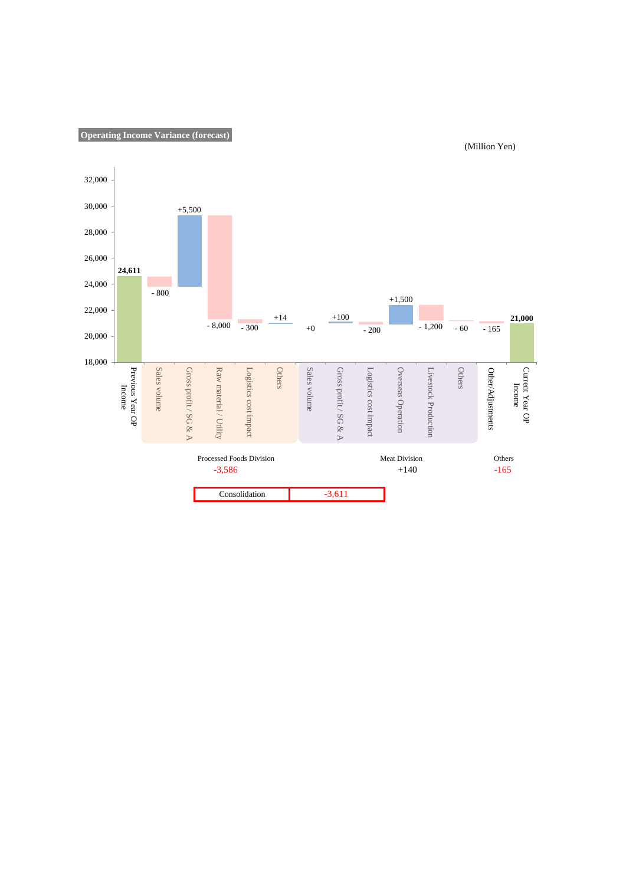



(Million Yen)